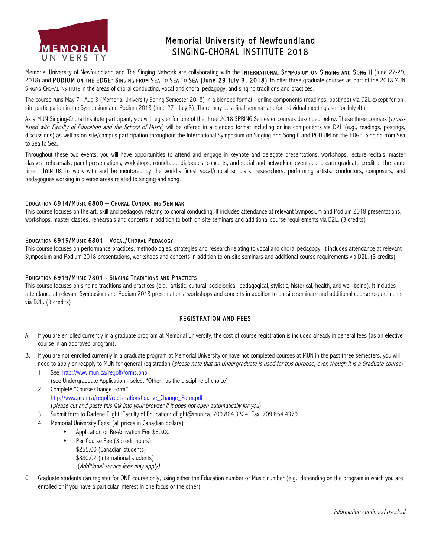

# Memorial University of Newfoundland SINGING-CHORAL INSTITUTE 2018

Memorial University of Newfoundland and The Singing Network are collaborating with the **INTERNATIONAL SYMPOSIUM ON SINGING AND SONG II** (June 27-29, 2018) and PODIUM ON THE EDGE: SINGING FROM SEA TO SEA TO SEA (June 29-July 3, 2018) to offer three graduate courses as part of the 2018 MUN SINGING-CHORAL INSTITUTE in the areas of choral conducting, vocal and choral pedagogy, and singing traditions and practices.

The course runs May 7 - Aug 3 (Memorial University Spring Semester 2018) in a blended format - online components (readings, postings) via D2L except for onsite participation in the Symposium and Podium 2018 (June 27 - July 3). There may be a final seminar and/or individual meetings set for July 4th.

As a MUN Singing-Choral Institute participant, you will register for one of the three 2018 SPRING Semester courses described below. These three courses (*cross*listed with Faculty of Education and the School of Music) will be offered in a blended format including online components via D2L (e.g., readings, postings, discussions) as well as on-site/campus participation throughout the International Symposium on Singing and Song II and PODIUM on the EDGE: Singing from Sea to Sea to Sea.

Throughout these two events, you will have opportunities to attend and engage in keynote and delegate presentations, workshops, lecture-recitals, master classes, rehearsals, panel presentations, workshops, roundtable dialogues, concerts, and social and networking events...and earn graduate credit at the same time! JOIN US to work with and be mentored by the world's finest vocal/choral scholars, researchers, performing artists, conductors, composers, and pedagogues working in diverse areas related to singing and song.

### EDUCATION 6914/MUSIC 6800 - CHORAL CONDUCTING SEMINAR

This course focuses on the art, skill and pedagogy relating to choral conducting. It includes attendance at relevant Symposium and Podium 2018 presentations, workshops, master classes, rehearsals and concerts in addition to both on-site seminars and additional course requirements via D2L. (3 credits)

### EDUCATION 6915/MUSIC 6801 - VOCAL/CHORAL PEDAGOGY

This course focuses on performance practices, methodologies, strategies and research relating to vocal and choral pedagogy. It includes attendance at relevant Symposium and Podium 2018 presentations, workshops and concerts in addition to on-site seminars and additional course requirements via D2L. (3 credits)

#### EDUCATION 6919/MUSIC 7801 - SINGING TRADITIONS AND PRACTICES

This course focuses on singing traditions and practices (e.g., artistic, cultural, sociological, pedagogical, stylistic, historical, health, and well-being). It includes attendance at relevant Symposium and Podium 2018 presentations, workshops and concerts in addition to on-site seminars and additional course requirements via D2L. (3 credits)

### REGISTRATION AND FEES

- A. If you are enrolled currently in a graduate program at Memorial University, the cost of course registration is included already in general fees (as an elective course in an approved program).
- B. If you are not enrolled currently in a graduate program at Memorial University or have not completed courses at MUN in the past three semesters, you will need to apply or reapply to MUN for general registration (please note that an Undergraduate is used for this purpose, even though it is a Graduate course):
	- 1. See: http://www.mun.ca/regoff/forms.php (see Undergraduate Application - select "Other" as the discipline of choice) 2. Complete "Course Change Form"
	- http://www.mun.ca/regoff/registration/Course\_Change\_Form.pdf (please cut and paste this link into your browser if it does not open automatically for you)
	- 3. Submit form to Darlene Flight, Faculty of Education: dflight@mun.ca, 709.864.3324, Fax: 709.854.4379
	- 4. Memorial University Fees: (all prices in Canadian dollars)
		- Application or Re-Activation Fee \$60.00
		- Per Course Fee (3 credit hours) \$255.00 (Canadian students) \$880.02 (International students) (Additional service fees may apply)
- C. Graduate students can register for ONE course only, using either the Education number or Music number (e.g., depending on the program in which you are enrolled or if you have a particular interest in one focus or the other).